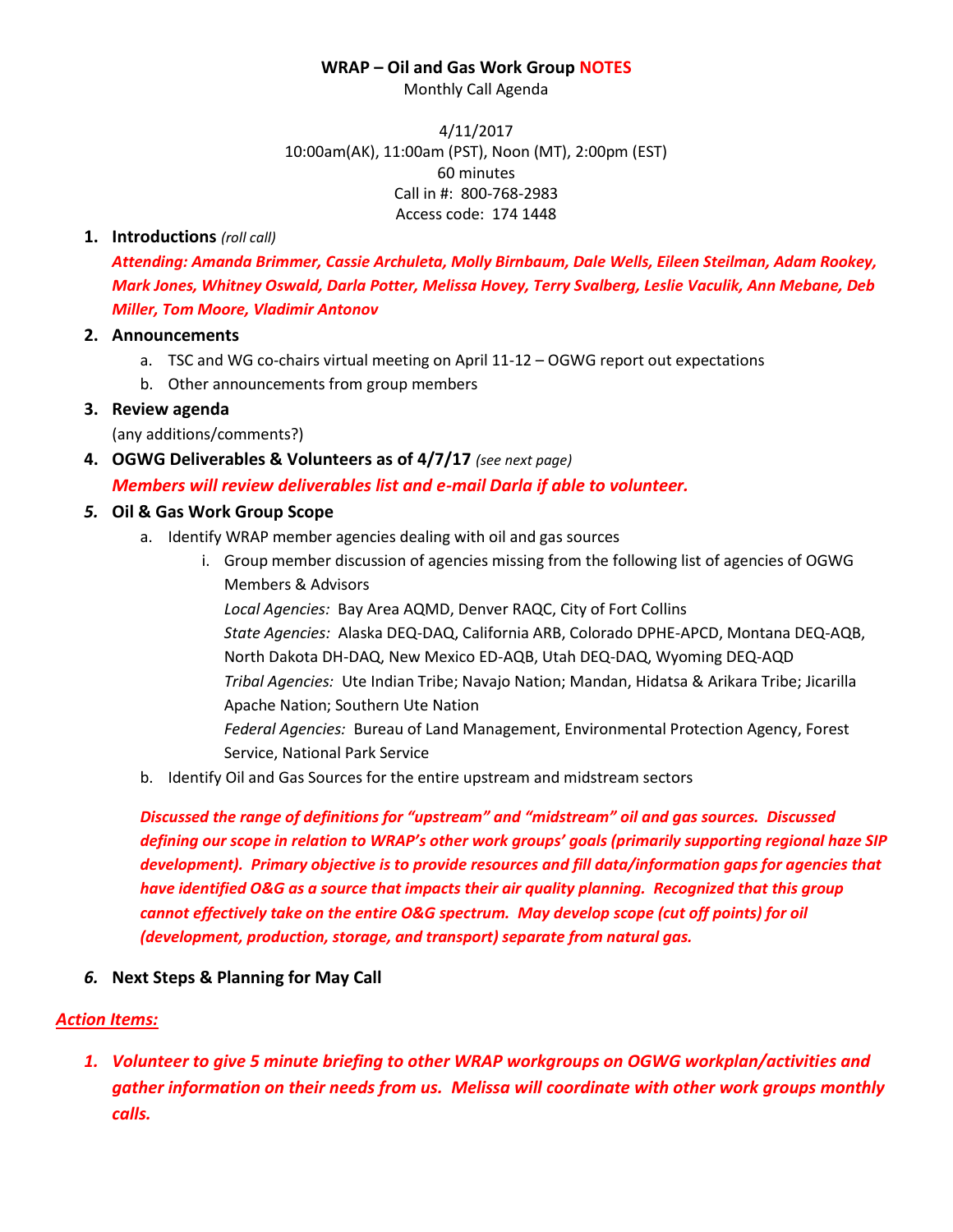#### **WRAP – Oil and Gas Work Group NOTES**

Monthly Call Agenda

4/11/2017 10:00am(AK), 11:00am (PST), Noon (MT), 2:00pm (EST) 60 minutes Call in #: 800-768-2983 Access code: 174 1448

#### **1. Introductions** *(roll call)*

*Attending: Amanda Brimmer, Cassie Archuleta, Molly Birnbaum, Dale Wells, Eileen Steilman, Adam Rookey, Mark Jones, Whitney Oswald, Darla Potter, Melissa Hovey, Terry Svalberg, Leslie Vaculik, Ann Mebane, Deb Miller, Tom Moore, Vladimir Antonov*

#### **2. Announcements**

- a. TSC and WG co-chairs virtual meeting on April 11-12 OGWG report out expectations
- b. Other announcements from group members

# **3. Review agenda**

(any additions/comments?)

**4. OGWG Deliverables & Volunteers as of 4/7/17** *(see next page)*

# *Members will review deliverables list and e-mail Darla if able to volunteer.*

#### *5.* **Oil & Gas Work Group Scope**

- a. Identify WRAP member agencies dealing with oil and gas sources
	- i. Group member discussion of agencies missing from the following list of agencies of OGWG Members & Advisors

*Local Agencies:* Bay Area AQMD, Denver RAQC, City of Fort Collins *State Agencies:* Alaska DEQ-DAQ, California ARB, Colorado DPHE-APCD, Montana DEQ-AQB, North Dakota DH-DAQ, New Mexico ED-AQB, Utah DEQ-DAQ, Wyoming DEQ-AQD *Tribal Agencies:* Ute Indian Tribe; Navajo Nation; Mandan, Hidatsa & Arikara Tribe; Jicarilla Apache Nation; Southern Ute Nation *Federal Agencies:* Bureau of Land Management, Environmental Protection Agency, Forest Service, National Park Service

b. Identify Oil and Gas Sources for the entire upstream and midstream sectors

*Discussed the range of definitions for "upstream" and "midstream" oil and gas sources. Discussed defining our scope in relation to WRAP's other work groups' goals (primarily supporting regional haze SIP development). Primary objective is to provide resources and fill data/information gaps for agencies that have identified O&G as a source that impacts their air quality planning. Recognized that this group cannot effectively take on the entire O&G spectrum. May develop scope (cut off points) for oil (development, production, storage, and transport) separate from natural gas.*

# *6.* **Next Steps & Planning for May Call**

# *Action Items:*

*1. Volunteer to give 5 minute briefing to other WRAP workgroups on OGWG workplan/activities and gather information on their needs from us. Melissa will coordinate with other work groups monthly calls.*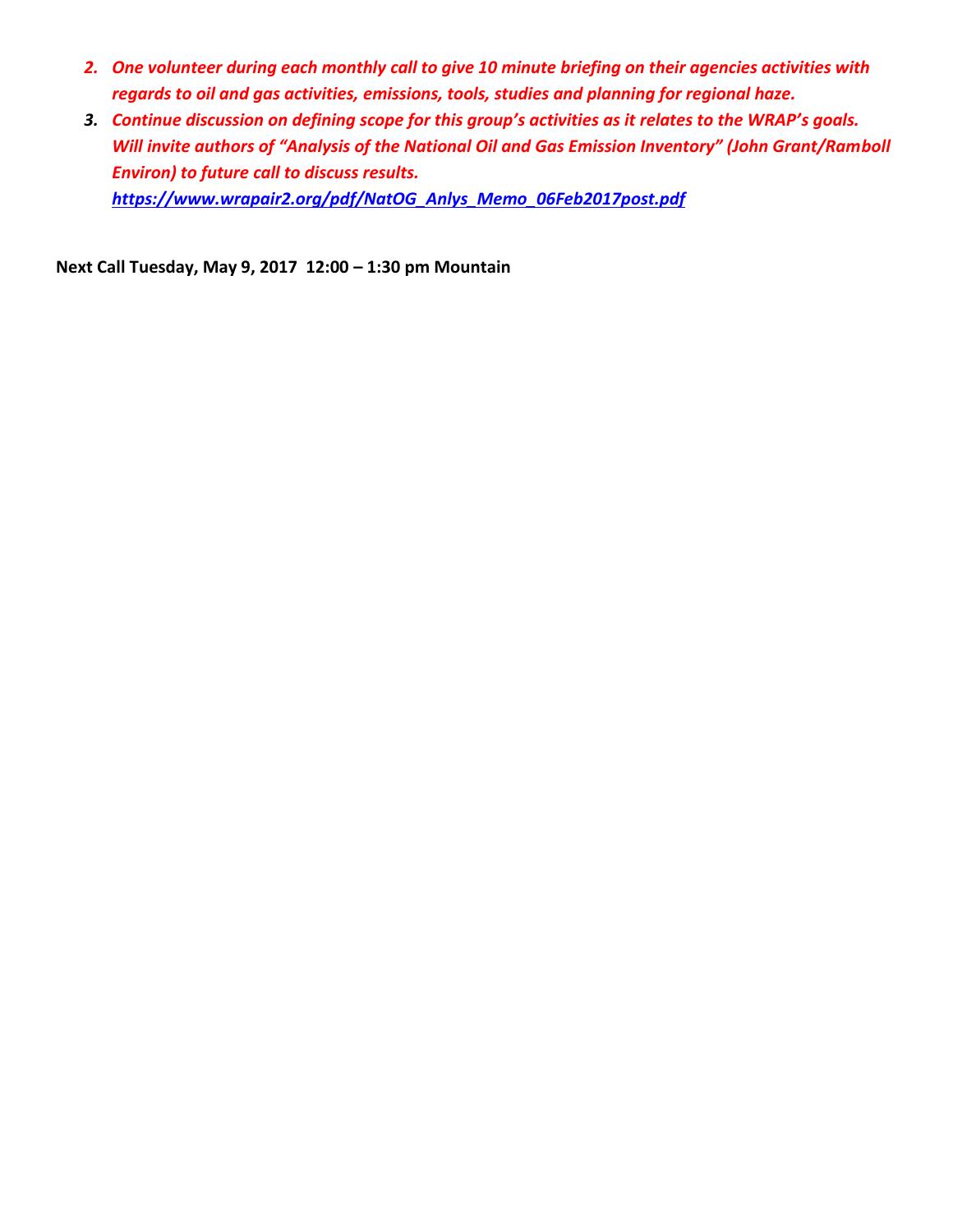- *2. One volunteer during each monthly call to give 10 minute briefing on their agencies activities with regards to oil and gas activities, emissions, tools, studies and planning for regional haze.*
- *3. Continue discussion on defining scope for this group's activities as it relates to the WRAP's goals. Will invite authors of "Analysis of the National Oil and Gas Emission Inventory" (John Grant/Ramboll Environ) to future call to discuss results. [https://www.wrapair2.org/pdf/NatOG\\_Anlys\\_Memo\\_06Feb2017post.pdf](https://www.wrapair2.org/pdf/NatOG_Anlys_Memo_06Feb2017post.pdf)*

**Next Call Tuesday, May 9, 2017 12:00 – 1:30 pm Mountain**